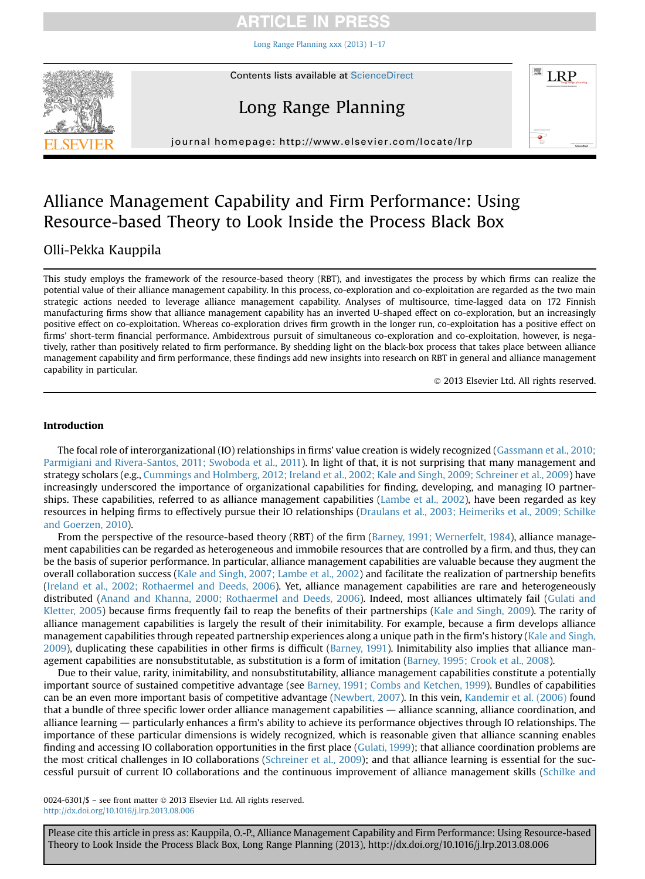### ICLE IN

[Long Range Planning xxx \(2013\) 1](http://dx.doi.org/10.1016/j.lrp.2013.08.006)–17



## Long Range Planning



journal homepage: [http://www.elsevier.com/locate/lrp](http://http://www.elsevier.com/locate/lrp)p/ $\mathcal{L}$ 

## Alliance Management Capability and Firm Performance: Using Resource-based Theory to Look Inside the Process Black Box

### Olli-Pekka Kauppila

This study employs the framework of the resource-based theory (RBT), and investigates the process by which firms can realize the potential value of their alliance management capability. In this process, co-exploration and co-exploitation are regarded as the two main strategic actions needed to leverage alliance management capability. Analyses of multisource, time-lagged data on 172 Finnish manufacturing firms show that alliance management capability has an inverted U-shaped effect on co-exploration, but an increasingly positive effect on co-exploitation. Whereas co-exploration drives firm growth in the longer run, co-exploitation has a positive effect on firms' short-term financial performance. Ambidextrous pursuit of simultaneous co-exploration and co-exploitation, however, is negatively, rather than positively related to firm performance. By shedding light on the black-box process that takes place between alliance management capability and firm performance, these findings add new insights into research on RBT in general and alliance management capability in particular.

2013 Elsevier Ltd. All rights reserved.

#### Introduction

The focal role of interorganizational (IO) relationships in firms' value creation is widely recognized ([Gassmann et al., 2010;](#page--1-0) [Parmigiani and Rivera-Santos, 2011; Swoboda et al., 2011\)](#page--1-0). In light of that, it is not surprising that many management and strategy scholars (e.g., [Cummings and Holmberg, 2012; Ireland et al., 2002; Kale and Singh, 2009; Schreiner et al., 2009](#page--1-0)) have increasingly underscored the importance of organizational capabilities for finding, developing, and managing IO partnerships. These capabilities, referred to as alliance management capabilities [\(Lambe et al., 2002](#page--1-0)), have been regarded as key resources in helping firms to effectively pursue their IO relationships [\(Draulans et al., 2003; Heimeriks et al., 2009; Schilke](#page--1-0) [and Goerzen, 2010\)](#page--1-0).

From the perspective of the resource-based theory (RBT) of the firm [\(Barney, 1991; Wernerfelt, 1984\)](#page--1-0), alliance management capabilities can be regarded as heterogeneous and immobile resources that are controlled by a firm, and thus, they can be the basis of superior performance. In particular, alliance management capabilities are valuable because they augment the overall collaboration success ([Kale and Singh, 2007; Lambe et al., 2002](#page--1-0)) and facilitate the realization of partnership benefits ([Ireland et al., 2002; Rothaermel and Deeds, 2006](#page--1-0)). Yet, alliance management capabilities are rare and heterogeneously distributed ([Anand and Khanna, 2000; Rothaermel and Deeds, 2006\)](#page--1-0). Indeed, most alliances ultimately fail ([Gulati and](#page--1-0) [Kletter, 2005](#page--1-0)) because firms frequently fail to reap the benefits of their partnerships [\(Kale and Singh, 2009\)](#page--1-0). The rarity of alliance management capabilities is largely the result of their inimitability. For example, because a firm develops alliance management capabilities through repeated partnership experiences along a unique path in the firm's history ([Kale and Singh,](#page--1-0) [2009](#page--1-0)), duplicating these capabilities in other firms is difficult ([Barney, 1991](#page--1-0)). Inimitability also implies that alliance management capabilities are nonsubstitutable, as substitution is a form of imitation ([Barney, 1995; Crook et al., 2008\)](#page--1-0).

Due to their value, rarity, inimitability, and nonsubstitutability, alliance management capabilities constitute a potentially important source of sustained competitive advantage (see [Barney, 1991; Combs and Ketchen, 1999\)](#page--1-0). Bundles of capabilities can be an even more important basis of competitive advantage ([Newbert, 2007](#page--1-0)). In this vein, [Kandemir et al. \(2006\)](#page--1-0) found that a bundle of three specific lower order alliance management capabilities  $-$  alliance scanning, alliance coordination, and alliance learning  $-$  particularly enhances a firm's ability to achieve its performance objectives through IO relationships. The importance of these particular dimensions is widely recognized, which is reasonable given that alliance scanning enables finding and accessing IO collaboration opportunities in the first place [\(Gulati, 1999\)](#page--1-0); that alliance coordination problems are the most critical challenges in IO collaborations [\(Schreiner et al., 2009](#page--1-0)); and that alliance learning is essential for the successful pursuit of current IO collaborations and the continuous improvement of alliance management skills ([Schilke and](#page--1-0)

0024-6301/\$ - see front matter  $\odot$  2013 Elsevier Ltd. All rights reserved. <http://dx.doi.org/10.1016/j.lrp.2013.08.006>

Please cite this article in press as: Kauppila, O.-P., Alliance Management Capability and Firm Performance: Using Resource-based Theory to Look Inside the Process Black Box, Long Range Planning (2013), http://dx.doi.org/10.1016/j.lrp.2013.08.006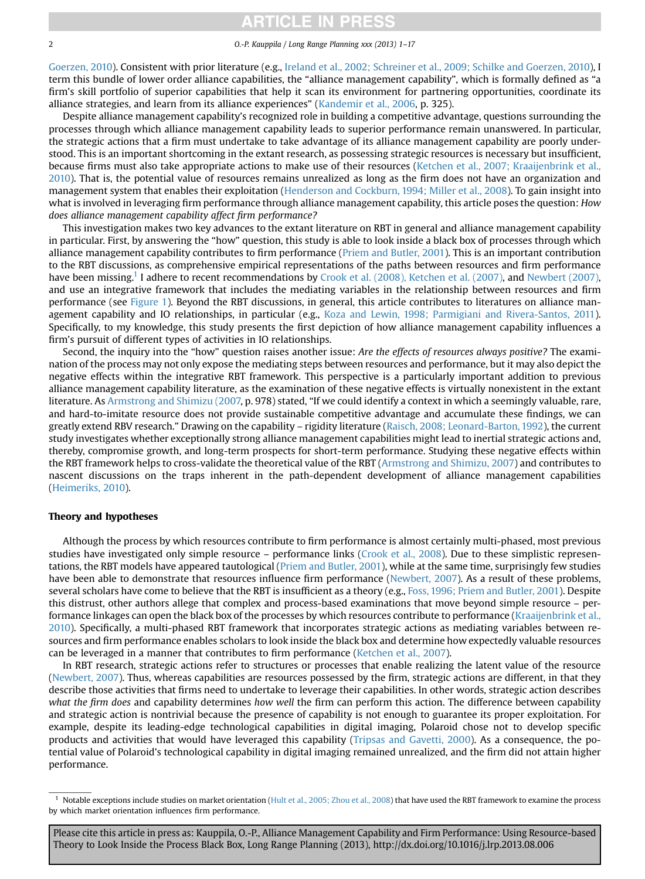### **ITICLE IN PRES**

2 O.-P. Kauppila / Long Range Planning xxx (2013) 1–17

[Goerzen, 2010\)](#page--1-0). Consistent with prior literature (e.g., [Ireland et al., 2002; Schreiner et al., 2009; Schilke and Goerzen, 2010\)](#page--1-0), I term this bundle of lower order alliance capabilities, the "alliance management capability", which is formally defined as "a firm's skill portfolio of superior capabilities that help it scan its environment for partnering opportunities, coordinate its alliance strategies, and learn from its alliance experiences" ([Kandemir et al., 2006,](#page--1-0) p. 325).

Despite alliance management capability's recognized role in building a competitive advantage, questions surrounding the processes through which alliance management capability leads to superior performance remain unanswered. In particular, the strategic actions that a firm must undertake to take advantage of its alliance management capability are poorly understood. This is an important shortcoming in the extant research, as possessing strategic resources is necessary but insufficient, because firms must also take appropriate actions to make use of their resources [\(Ketchen et al., 2007; Kraaijenbrink et al.,](#page--1-0) [2010](#page--1-0)). That is, the potential value of resources remains unrealized as long as the firm does not have an organization and management system that enables their exploitation [\(Henderson and Cockburn, 1994; Miller et al., 2008](#page--1-0)). To gain insight into what is involved in leveraging firm performance through alliance management capability, this article poses the question: How does alliance management capability affect firm performance?

This investigation makes two key advances to the extant literature on RBT in general and alliance management capability in particular. First, by answering the "how" question, this study is able to look inside a black box of processes through which alliance management capability contributes to firm performance [\(Priem and Butler, 2001](#page--1-0)). This is an important contribution to the RBT discussions, as comprehensive empirical representations of the paths between resources and firm performance have been missing.<sup>1</sup> I adhere to recent recommendations by [Crook et al. \(2008\), Ketchen et al. \(2007\)](#page--1-0), and [Newbert \(2007\)](#page--1-0), and use an integrative framework that includes the mediating variables in the relationship between resources and firm performance (see [Figure 1](#page--1-0)). Beyond the RBT discussions, in general, this article contributes to literatures on alliance management capability and IO relationships, in particular (e.g., [Koza and Lewin, 1998; Parmigiani and Rivera-Santos, 2011](#page--1-0)). Specifically, to my knowledge, this study presents the first depiction of how alliance management capability influences a firm's pursuit of different types of activities in IO relationships.

Second, the inquiry into the "how" question raises another issue: Are the effects of resources always positive? The examination of the process may not only expose the mediating steps between resources and performance, but it may also depict the negative effects within the integrative RBT framework. This perspective is a particularly important addition to previous alliance management capability literature, as the examination of these negative effects is virtually nonexistent in the extant literature. As [Armstrong and Shimizu \(2007,](#page--1-0) p. 978) stated, "If we could identify a context in which a seemingly valuable, rare, and hard-to-imitate resource does not provide sustainable competitive advantage and accumulate these findings, we can greatly extend RBV research." Drawing on the capability – rigidity literature [\(Raisch, 2008; Leonard-Barton, 1992\)](#page--1-0), the current study investigates whether exceptionally strong alliance management capabilities might lead to inertial strategic actions and, thereby, compromise growth, and long-term prospects for short-term performance. Studying these negative effects within the RBT framework helps to cross-validate the theoretical value of the RBT [\(Armstrong and Shimizu, 2007](#page--1-0)) and contributes to nascent discussions on the traps inherent in the path-dependent development of alliance management capabilities [\(Heimeriks, 2010\)](#page--1-0).

#### Theory and hypotheses

Although the process by which resources contribute to firm performance is almost certainly multi-phased, most previous studies have investigated only simple resource – performance links [\(Crook et al., 2008\)](#page--1-0). Due to these simplistic representations, the RBT models have appeared tautological ([Priem and Butler, 2001](#page--1-0)), while at the same time, surprisingly few studies have been able to demonstrate that resources influence firm performance [\(Newbert, 2007\)](#page--1-0). As a result of these problems, several scholars have come to believe that the RBT is insufficient as a theory (e.g., [Foss, 1996; Priem and Butler, 2001](#page--1-0)). Despite this distrust, other authors allege that complex and process-based examinations that move beyond simple resource – per-formance linkages can open the black box of the processes by which resources contribute to performance [\(Kraaijenbrink et al.,](#page--1-0) [2010](#page--1-0)). Specifically, a multi-phased RBT framework that incorporates strategic actions as mediating variables between resources and firm performance enables scholars to look inside the black box and determine how expectedly valuable resources can be leveraged in a manner that contributes to firm performance [\(Ketchen et al., 2007](#page--1-0)).

In RBT research, strategic actions refer to structures or processes that enable realizing the latent value of the resource [\(Newbert, 2007](#page--1-0)). Thus, whereas capabilities are resources possessed by the firm, strategic actions are different, in that they describe those activities that firms need to undertake to leverage their capabilities. In other words, strategic action describes what the firm does and capability determines how well the firm can perform this action. The difference between capability and strategic action is nontrivial because the presence of capability is not enough to guarantee its proper exploitation. For example, despite its leading-edge technological capabilities in digital imaging, Polaroid chose not to develop specific products and activities that would have leveraged this capability ([Tripsas and Gavetti, 2000](#page--1-0)). As a consequence, the potential value of Polaroid's technological capability in digital imaging remained unrealized, and the firm did not attain higher performance.

Please cite this article in press as: Kauppila, O.-P., Alliance Management Capability and Firm Performance: Using Resource-based Theory to Look Inside the Process Black Box, Long Range Planning (2013), http://dx.doi.org/10.1016/j.lrp.2013.08.006

 $1$  Notable exceptions include studies on market orientation ([Hult et al., 2005; Zhou et al., 2008\)](#page--1-0) that have used the RBT framework to examine the process by which market orientation influences firm performance.